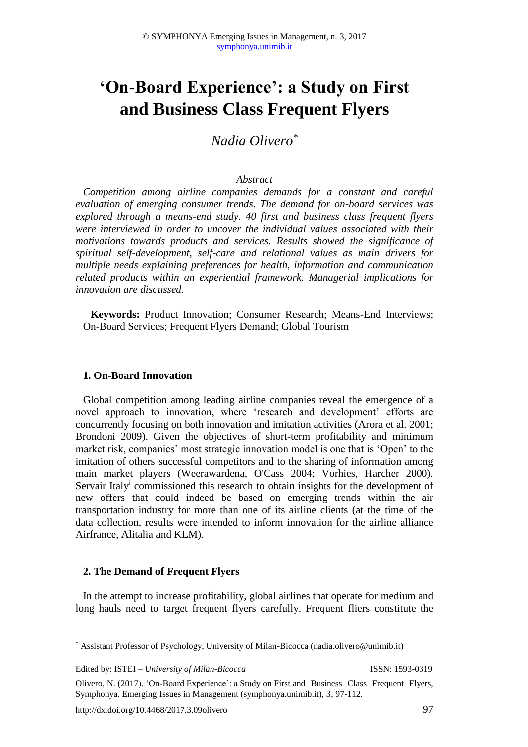# **'On-Board Experience': a Study on First and Business Class Frequent Flyers**

*Nadia Olivero\**

### *Abstract*

*Competition among airline companies demands for a constant and careful evaluation of emerging consumer trends. The demand for on-board services was explored through a means-end study. 40 first and business class frequent flyers were interviewed in order to uncover the individual values associated with their motivations towards products and services. Results showed the significance of spiritual self-development, self-care and relational values as main drivers for multiple needs explaining preferences for health, information and communication related products within an experiential framework. Managerial implications for innovation are discussed.*

**Keywords:** Product Innovation; Consumer Research; Means-End Interviews; On-Board Services; Frequent Flyers Demand; Global Tourism

#### **1. On-Board Innovation**

Global competition among leading airline companies reveal the emergence of a novel approach to innovation, where 'research and development' efforts are concurrently focusing on both innovation and imitation activities (Arora et al. 2001; Brondoni 2009). Given the objectives of short-term profitability and minimum market risk, companies' most strategic innovation model is one that is 'Open' to the imitation of others successful competitors and to the sharing of information among main market players (Weerawardena, O'Cass 2004; Vorhies, Harcher 2000). Servair Italy<sup>i</sup> commissioned this research to obtain insights for the development of new offers that could indeed be based on emerging trends within the air transportation industry for more than one of its airline clients (at the time of the data collection, results were intended to inform innovation for the airline alliance Airfrance, Alitalia and KLM).

## **2. The Demand of Frequent Flyers**

In the attempt to increase profitability, global airlines that operate for medium and long hauls need to target frequent flyers carefully. Frequent fliers constitute the

Edited by: ISTEI – *University of Milan-Bicocca* ISSN: 1593-0319

1

<sup>\*</sup> Assistant Professor of Psychology, University of Milan-Bicocca (nadia.olivero@unimib.it)

Olivero, N. (2017). 'On-Board Experience': a Study on First and Business Class Frequent Flyers, Symphonya. Emerging Issues in Management (symphonya.unimib.it), 3, 97-112.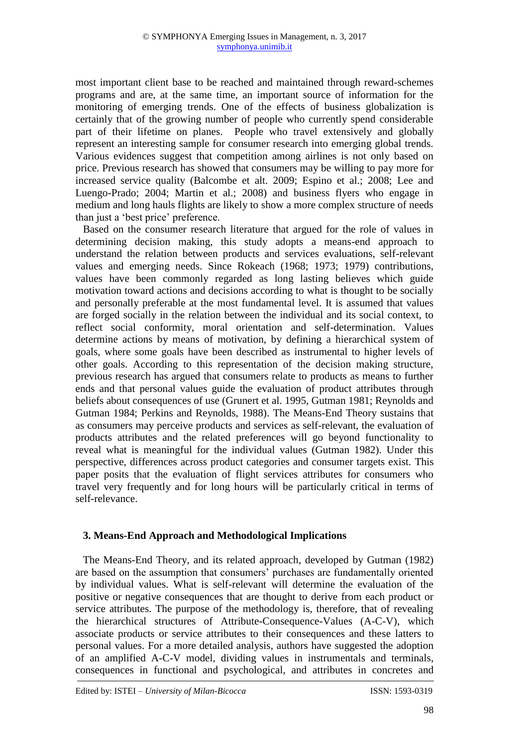most important client base to be reached and maintained through reward-schemes programs and are, at the same time, an important source of information for the monitoring of emerging trends. One of the effects of business globalization is certainly that of the growing number of people who currently spend considerable part of their lifetime on planes. People who travel extensively and globally represent an interesting sample for consumer research into emerging global trends. Various evidences suggest that competition among airlines is not only based on price. Previous research has showed that consumers may be willing to pay more for increased service quality (Balcombe et alt. 2009; Espino et al.; 2008; Lee and Luengo-Prado; 2004; Martin et al.; 2008) and business flyers who engage in medium and long hauls flights are likely to show a more complex structure of needs than just a 'best price' preference.

Based on the consumer research literature that argued for the role of values in determining decision making, this study adopts a means-end approach to understand the relation between products and services evaluations, self-relevant values and emerging needs. Since Rokeach (1968; 1973; 1979) contributions, values have been commonly regarded as long lasting believes which guide motivation toward actions and decisions according to what is thought to be socially and personally preferable at the most fundamental level. It is assumed that values are forged socially in the relation between the individual and its social context, to reflect social conformity, moral orientation and self-determination. Values determine actions by means of motivation, by defining a hierarchical system of goals, where some goals have been described as instrumental to higher levels of other goals. According to this representation of the decision making structure, previous research has argued that consumers relate to products as means to further ends and that personal values guide the evaluation of product attributes through beliefs about consequences of use (Grunert et al. 1995, Gutman 1981; Reynolds and Gutman 1984; Perkins and Reynolds, 1988). The Means-End Theory sustains that as consumers may perceive products and services as self-relevant, the evaluation of products attributes and the related preferences will go beyond functionality to reveal what is meaningful for the individual values (Gutman 1982). Under this perspective, differences across product categories and consumer targets exist. This paper posits that the evaluation of flight services attributes for consumers who travel very frequently and for long hours will be particularly critical in terms of self-relevance.

# **3. Means-End Approach and Methodological Implications**

The Means-End Theory, and its related approach, developed by Gutman (1982) are based on the assumption that consumers' purchases are fundamentally oriented by individual values. What is self-relevant will determine the evaluation of the positive or negative consequences that are thought to derive from each product or service attributes. The purpose of the methodology is, therefore, that of revealing the hierarchical structures of Attribute-Consequence-Values (A-C-V), which associate products or service attributes to their consequences and these latters to personal values. For a more detailed analysis, authors have suggested the adoption of an amplified A-C-V model, dividing values in instrumentals and terminals, consequences in functional and psychological, and attributes in concretes and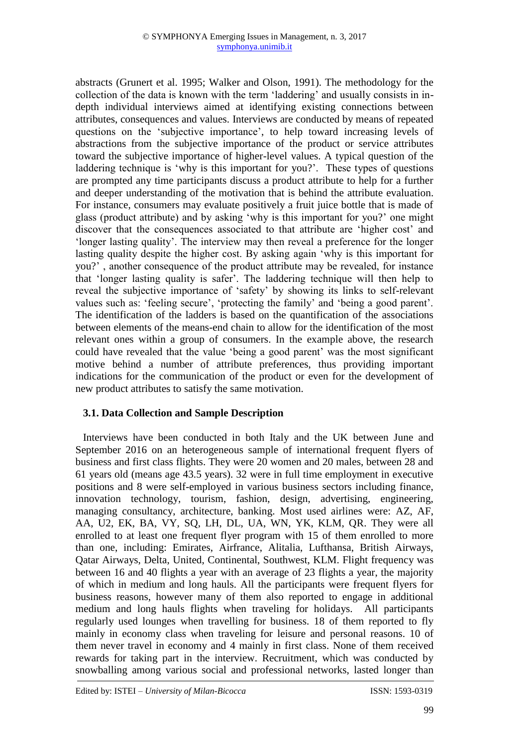abstracts (Grunert et al. 1995; Walker and Olson, 1991). The methodology for the collection of the data is known with the term 'laddering' and usually consists in indepth individual interviews aimed at identifying existing connections between attributes, consequences and values. Interviews are conducted by means of repeated questions on the 'subjective importance', to help toward increasing levels of abstractions from the subjective importance of the product or service attributes toward the subjective importance of higher-level values. A typical question of the laddering technique is 'why is this important for you?'. These types of questions are prompted any time participants discuss a product attribute to help for a further and deeper understanding of the motivation that is behind the attribute evaluation. For instance, consumers may evaluate positively a fruit juice bottle that is made of glass (product attribute) and by asking 'why is this important for you?' one might discover that the consequences associated to that attribute are 'higher cost' and 'longer lasting quality'. The interview may then reveal a preference for the longer lasting quality despite the higher cost. By asking again 'why is this important for you?' , another consequence of the product attribute may be revealed, for instance that 'longer lasting quality is safer'. The laddering technique will then help to reveal the subjective importance of 'safety' by showing its links to self-relevant values such as: 'feeling secure', 'protecting the family' and 'being a good parent'. The identification of the ladders is based on the quantification of the associations between elements of the means-end chain to allow for the identification of the most relevant ones within a group of consumers. In the example above, the research could have revealed that the value 'being a good parent' was the most significant motive behind a number of attribute preferences, thus providing important indications for the communication of the product or even for the development of new product attributes to satisfy the same motivation.

# **3.1. Data Collection and Sample Description**

Interviews have been conducted in both Italy and the UK between June and September 2016 on an heterogeneous sample of international frequent flyers of business and first class flights. They were 20 women and 20 males, between 28 and 61 years old (means age 43.5 years). 32 were in full time employment in executive positions and 8 were self-employed in various business sectors including finance, innovation technology, tourism, fashion, design, advertising, engineering, managing consultancy, architecture, banking. Most used airlines were: AZ, AF, AA, U2, EK, BA, VY, SQ, LH, DL, UA, WN, YK, KLM, QR. They were all enrolled to at least one frequent flyer program with 15 of them enrolled to more than one, including: Emirates, Airfrance, Alitalia, Lufthansa, British Airways, Qatar Airways, Delta, United, Continental, Southwest, KLM. Flight frequency was between 16 and 40 flights a year with an average of 23 flights a year, the majority of which in medium and long hauls. All the participants were frequent flyers for business reasons, however many of them also reported to engage in additional medium and long hauls flights when traveling for holidays. All participants regularly used lounges when travelling for business. 18 of them reported to fly mainly in economy class when traveling for leisure and personal reasons. 10 of them never travel in economy and 4 mainly in first class. None of them received rewards for taking part in the interview. Recruitment, which was conducted by snowballing among various social and professional networks, lasted longer than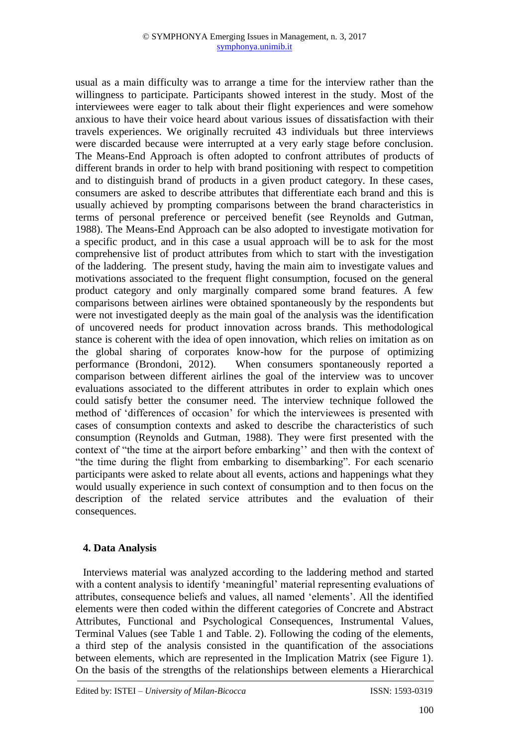usual as a main difficulty was to arrange a time for the interview rather than the willingness to participate. Participants showed interest in the study. Most of the interviewees were eager to talk about their flight experiences and were somehow anxious to have their voice heard about various issues of dissatisfaction with their travels experiences. We originally recruited 43 individuals but three interviews were discarded because were interrupted at a very early stage before conclusion. The Means-End Approach is often adopted to confront attributes of products of different brands in order to help with brand positioning with respect to competition and to distinguish brand of products in a given product category. In these cases, consumers are asked to describe attributes that differentiate each brand and this is usually achieved by prompting comparisons between the brand characteristics in terms of personal preference or perceived benefit (see Reynolds and Gutman, 1988). The Means-End Approach can be also adopted to investigate motivation for a specific product, and in this case a usual approach will be to ask for the most comprehensive list of product attributes from which to start with the investigation of the laddering. The present study, having the main aim to investigate values and motivations associated to the frequent flight consumption, focused on the general product category and only marginally compared some brand features. A few comparisons between airlines were obtained spontaneously by the respondents but were not investigated deeply as the main goal of the analysis was the identification of uncovered needs for product innovation across brands. This methodological stance is coherent with the idea of open innovation, which relies on imitation as on the global sharing of corporates know-how for the purpose of optimizing performance (Brondoni, 2012). When consumers spontaneously reported a comparison between different airlines the goal of the interview was to uncover evaluations associated to the different attributes in order to explain which ones could satisfy better the consumer need. The interview technique followed the method of 'differences of occasion' for which the interviewees is presented with cases of consumption contexts and asked to describe the characteristics of such consumption (Reynolds and Gutman, 1988). They were first presented with the context of "the time at the airport before embarking'' and then with the context of "the time during the flight from embarking to disembarking". For each scenario participants were asked to relate about all events, actions and happenings what they would usually experience in such context of consumption and to then focus on the description of the related service attributes and the evaluation of their consequences.

# **4. Data Analysis**

Interviews material was analyzed according to the laddering method and started with a content analysis to identify 'meaningful' material representing evaluations of attributes, consequence beliefs and values, all named 'elements'. All the identified elements were then coded within the different categories of Concrete and Abstract Attributes, Functional and Psychological Consequences, Instrumental Values, Terminal Values (see Table 1 and Table. 2). Following the coding of the elements, a third step of the analysis consisted in the quantification of the associations between elements, which are represented in the Implication Matrix (see Figure 1). On the basis of the strengths of the relationships between elements a Hierarchical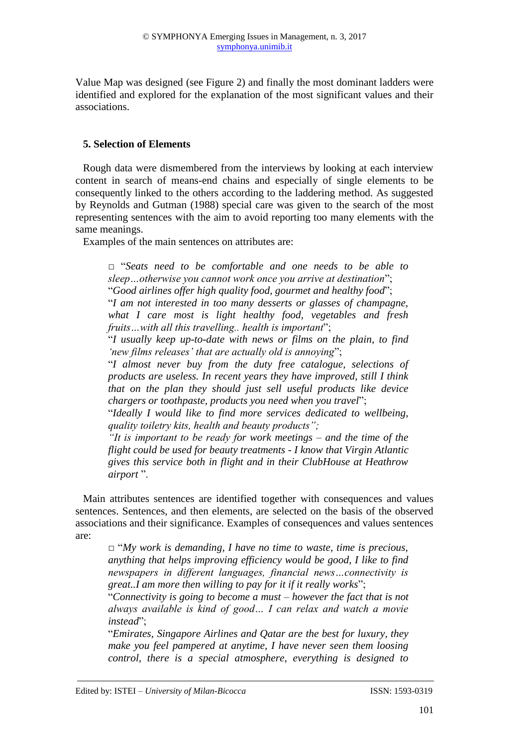Value Map was designed (see Figure 2) and finally the most dominant ladders were identified and explored for the explanation of the most significant values and their associations.

## **5. Selection of Elements**

Rough data were dismembered from the interviews by looking at each interview content in search of means-end chains and especially of single elements to be consequently linked to the others according to the laddering method. As suggested by Reynolds and Gutman (1988) special care was given to the search of the most representing sentences with the aim to avoid reporting too many elements with the same meanings.

Examples of the main sentences on attributes are:

*□* "*Seats need to be comfortable and one needs to be able to sleep…otherwise you cannot work once you arrive at destination*"; "*Good airlines offer high quality food, gourmet and healthy food*"; "*I am not interested in too many desserts or glasses of champagne,* 

*what I care most is light healthy food, vegetables and fresh fruits…with all this travelling.. health is important*";

"*I usually keep up-to-date with news or films on the plain, to find 'new films releases' that are actually old is annoying*";

"*I almost never buy from the duty free catalogue, selections of products are useless. In recent years they have improved, still I think that on the plan they should just sell useful products like device chargers or toothpaste, products you need when you travel*";

"*Ideally I would like to find more services dedicated to wellbeing, quality toiletry kits, health and beauty products";*

*"It is important to be ready for work meetings – and the time of the flight could be used for beauty treatments - I know that Virgin Atlantic gives this service both in flight and in their ClubHouse at Heathrow airport* ".

Main attributes sentences are identified together with consequences and values sentences. Sentences, and then elements, are selected on the basis of the observed associations and their significance. Examples of consequences and values sentences are:

*□* "*My work is demanding, I have no time to waste, time is precious, anything that helps improving efficiency would be good, I like to find newspapers in different languages, financial news…connectivity is great..I am more then willing to pay for it if it really works*";

"*Connectivity is going to become a must – however the fact that is not always available is kind of good… I can relax and watch a movie instead*";

"*Emirates, Singapore Airlines and Qatar are the best for luxury, they make you feel pampered at anytime, I have never seen them loosing control, there is a special atmosphere, everything is designed to*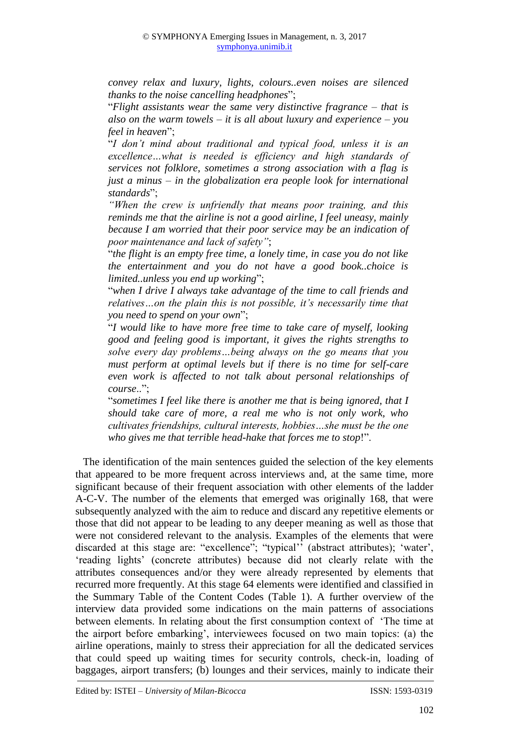*convey relax and luxury, lights, colours..even noises are silenced thanks to the noise cancelling headphones*";

"*Flight assistants wear the same very distinctive fragrance – that is also on the warm towels – it is all about luxury and experience – you feel in heaven*";

"*I don't mind about traditional and typical food, unless it is an excellence…what is needed is efficiency and high standards of services not folklore, sometimes a strong association with a flag is just a minus – in the globalization era people look for international standards*";

*"When the crew is unfriendly that means poor training, and this reminds me that the airline is not a good airline, I feel uneasy, mainly because I am worried that their poor service may be an indication of poor maintenance and lack of safety"*;

"*the flight is an empty free time, a lonely time, in case you do not like the entertainment and you do not have a good book..choice is limited..unless you end up working*";

"*when I drive I always take advantage of the time to call friends and relatives…on the plain this is not possible, it's necessarily time that you need to spend on your own*";

"*I would like to have more free time to take care of myself, looking good and feeling good is important, it gives the rights strengths to solve every day problems…being always on the go means that you must perform at optimal levels but if there is no time for self-care even work is affected to not talk about personal relationships of course*..";

"*sometimes I feel like there is another me that is being ignored, that I should take care of more, a real me who is not only work, who cultivates friendships, cultural interests, hobbies…she must be the one who gives me that terrible head-hake that forces me to stop*!".

The identification of the main sentences guided the selection of the key elements that appeared to be more frequent across interviews and, at the same time, more significant because of their frequent association with other elements of the ladder A-C-V. The number of the elements that emerged was originally 168, that were subsequently analyzed with the aim to reduce and discard any repetitive elements or those that did not appear to be leading to any deeper meaning as well as those that were not considered relevant to the analysis. Examples of the elements that were discarded at this stage are: "excellence"; "typical'' (abstract attributes); 'water', 'reading lights' (concrete attributes) because did not clearly relate with the attributes consequences and/or they were already represented by elements that recurred more frequently. At this stage 64 elements were identified and classified in the Summary Table of the Content Codes (Table 1). A further overview of the interview data provided some indications on the main patterns of associations between elements. In relating about the first consumption context of 'The time at the airport before embarking', interviewees focused on two main topics: (a) the airline operations, mainly to stress their appreciation for all the dedicated services that could speed up waiting times for security controls, check-in, loading of baggages, airport transfers; (b) lounges and their services, mainly to indicate their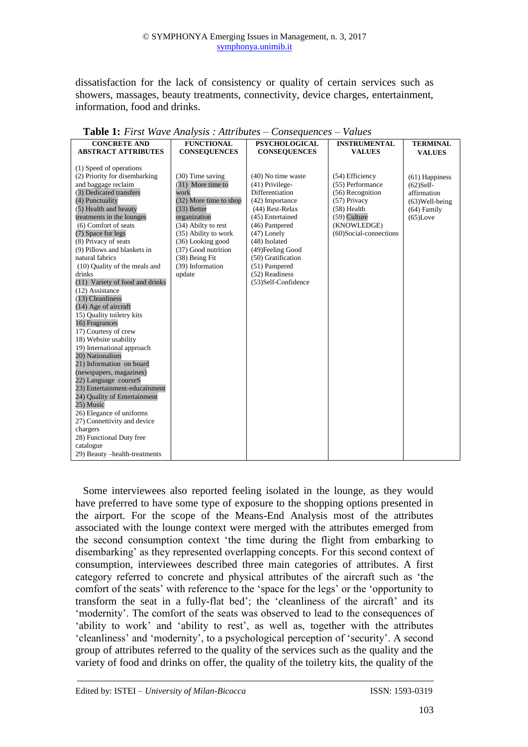dissatisfaction for the lack of consistency or quality of certain services such as showers, massages, beauty treatments, connectivity, device charges, entertainment, information, food and drinks.

| <b>CONCRETE AND</b>             | <b>FUNCTIONAL</b>      | <b>PSYCHOLOGICAL</b> | <b>INSTRUMENTAL</b>    | <b>TERMINAL</b>   |
|---------------------------------|------------------------|----------------------|------------------------|-------------------|
| <b>ABSTRACT ATTRIBUTES</b>      | <b>CONSEQUENCES</b>    | <b>CONSEQUENCES</b>  | <b>VALUES</b>          | <b>VALUES</b>     |
|                                 |                        |                      |                        |                   |
| (1) Speed of operations         |                        |                      |                        |                   |
| (2) Priority for disembarking   | (30) Time saving       | $(40)$ No time waste | (54) Efficiency        | $(61)$ Happiness  |
| and baggage reclaim             | (31) More time to      | (41) Privilege-      | (55) Performance       | $(62)$ Self-      |
| (3) Dedicated transfers         | work                   | Differentiation      | (56) Recognition       | affirmation       |
| (4) Punctuality                 | (32) More time to shop | (42) Importance      | $(57)$ Privacy         | $(63)$ Well-being |
| (5) Health and beauty           | (33) Better            | (44) Rest-Relax      | $(58)$ Health          | $(64)$ Family     |
| treatments in the lounges       | organization           | (45) Entertained     | $(59)$ Culture         | $(65)$ Love       |
| (6) Comfort of seats            | (34) Abilty to rest    | (46) Pampered        | (KNOWLEDGE)            |                   |
| (7) Space for legs              | (35) Ability to work   | $(47)$ Lonely        | (60)Social-connections |                   |
| (8) Privacy of seats            | (36) Looking good      | (48) Isolated        |                        |                   |
| (9) Pillows and blankets in     | (37) Good nutrition    | (49) Feeling Good    |                        |                   |
| natural fabrics                 | (38) Being Fit         | (50) Gratification   |                        |                   |
| (10) Quality of the meals and   | (39) Information       | (51) Pampered        |                        |                   |
| drinks                          | update                 | (52) Readiness       |                        |                   |
| (11) Variety of food and drinks |                        | (53)Self-Confidence  |                        |                   |
| (12) Assistance                 |                        |                      |                        |                   |
| (13) Cleanliness                |                        |                      |                        |                   |
| (14) Age of aircraft            |                        |                      |                        |                   |
| 15) Quality toiletry kits       |                        |                      |                        |                   |
| 16) Fragrances                  |                        |                      |                        |                   |
| 17) Courtesy of crew            |                        |                      |                        |                   |
| 18) Website usability           |                        |                      |                        |                   |
| 19) International approach      |                        |                      |                        |                   |
| 20) Nationalism                 |                        |                      |                        |                   |
| 21) Information on board        |                        |                      |                        |                   |
| (newspapers, magazines)         |                        |                      |                        |                   |
| 22) Language courseS            |                        |                      |                        |                   |
| 23) Entertainment-educainment   |                        |                      |                        |                   |
| 24) Quality of Entertainment    |                        |                      |                        |                   |
| 25) Music                       |                        |                      |                        |                   |
| 26) Elegance of uniforms        |                        |                      |                        |                   |
| 27) Connettivity and device     |                        |                      |                        |                   |
| chargers                        |                        |                      |                        |                   |
| 28) Functional Duty free        |                        |                      |                        |                   |
| catalogue                       |                        |                      |                        |                   |
| 29) Beauty -health-treatments   |                        |                      |                        |                   |

**Table 1:** *First Wave Analysis : Attributes – Consequences – Values* 

Some interviewees also reported feeling isolated in the lounge, as they would have preferred to have some type of exposure to the shopping options presented in the airport. For the scope of the Means-End Analysis most of the attributes associated with the lounge context were merged with the attributes emerged from the second consumption context 'the time during the flight from embarking to disembarking' as they represented overlapping concepts. For this second context of consumption, interviewees described three main categories of attributes. A first category referred to concrete and physical attributes of the aircraft such as 'the comfort of the seats' with reference to the 'space for the legs' or the 'opportunity to transform the seat in a fully-flat bed'; the 'cleanliness of the aircraft' and its 'modernity'. The comfort of the seats was observed to lead to the consequences of 'ability to work' and 'ability to rest', as well as, together with the attributes 'cleanliness' and 'modernity', to a psychological perception of 'security'. A second group of attributes referred to the quality of the services such as the quality and the variety of food and drinks on offer, the quality of the toiletry kits, the quality of the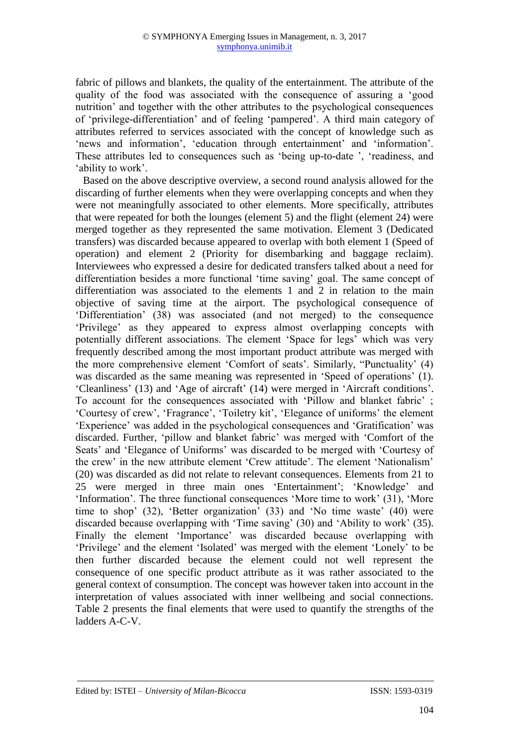fabric of pillows and blankets, the quality of the entertainment. The attribute of the quality of the food was associated with the consequence of assuring a 'good nutrition' and together with the other attributes to the psychological consequences of 'privilege-differentiation' and of feeling 'pampered'. A third main category of attributes referred to services associated with the concept of knowledge such as 'news and information', 'education through entertainment' and 'information'. These attributes led to consequences such as 'being up-to-date ', 'readiness, and 'ability to work'.

Based on the above descriptive overview, a second round analysis allowed for the discarding of further elements when they were overlapping concepts and when they were not meaningfully associated to other elements. More specifically, attributes that were repeated for both the lounges (element 5) and the flight (element 24) were merged together as they represented the same motivation. Element 3 (Dedicated transfers) was discarded because appeared to overlap with both element 1 (Speed of operation) and element 2 (Priority for disembarking and baggage reclaim). Interviewees who expressed a desire for dedicated transfers talked about a need for differentiation besides a more functional 'time saving' goal. The same concept of differentiation was associated to the elements 1 and 2 in relation to the main objective of saving time at the airport. The psychological consequence of 'Differentiation' (38) was associated (and not merged) to the consequence 'Privilege' as they appeared to express almost overlapping concepts with potentially different associations. The element 'Space for legs' which was very frequently described among the most important product attribute was merged with the more comprehensive element 'Comfort of seats'. Similarly, "Punctuality' (4) was discarded as the same meaning was represented in 'Speed of operations' (1). 'Cleanliness' (13) and 'Age of aircraft' (14) were merged in 'Aircraft conditions'. To account for the consequences associated with 'Pillow and blanket fabric' ; 'Courtesy of crew', 'Fragrance', 'Toiletry kit', 'Elegance of uniforms' the element 'Experience' was added in the psychological consequences and 'Gratification' was discarded. Further, 'pillow and blanket fabric' was merged with 'Comfort of the Seats' and 'Elegance of Uniforms' was discarded to be merged with 'Courtesy of the crew' in the new attribute element 'Crew attitude'. The element 'Nationalism' (20) was discarded as did not relate to relevant consequences. Elements from 21 to 25 were merged in three main ones 'Entertainment'; 'Knowledge' and 'Information'. The three functional consequences 'More time to work' (31), 'More time to shop' (32), 'Better organization' (33) and 'No time waste' (40) were discarded because overlapping with 'Time saving' (30) and 'Ability to work' (35). Finally the element 'Importance' was discarded because overlapping with 'Privilege' and the element 'Isolated' was merged with the element 'Lonely' to be then further discarded because the element could not well represent the consequence of one specific product attribute as it was rather associated to the general context of consumption. The concept was however taken into account in the interpretation of values associated with inner wellbeing and social connections. Table 2 presents the final elements that were used to quantify the strengths of the ladders A-C-V.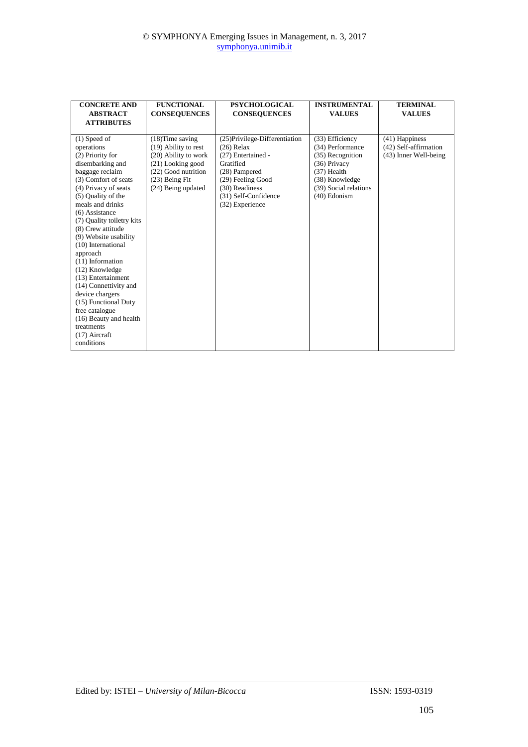| <b>CONCRETE AND</b><br><b>ABSTRACT</b><br><b>ATTRIBUTES</b>                                                                                                                                                                                                                                                                                                                                                                                                                                                                                     | <b>FUNCTIONAL</b><br><b>CONSEQUENCES</b>                                                                                                               | <b>PSYCHOLOGICAL</b><br><b>CONSEQUENCES</b>                                                                                                                                          | <b>INSTRUMENTAL</b><br><b>VALUES</b>                                                                                                                | <b>TERMINAL</b><br><b>VALUES</b>                                   |
|-------------------------------------------------------------------------------------------------------------------------------------------------------------------------------------------------------------------------------------------------------------------------------------------------------------------------------------------------------------------------------------------------------------------------------------------------------------------------------------------------------------------------------------------------|--------------------------------------------------------------------------------------------------------------------------------------------------------|--------------------------------------------------------------------------------------------------------------------------------------------------------------------------------------|-----------------------------------------------------------------------------------------------------------------------------------------------------|--------------------------------------------------------------------|
| $(1)$ Speed of<br>operations<br>(2) Priority for<br>disembarking and<br>baggage reclaim<br>(3) Comfort of seats<br>(4) Privacy of seats<br>(5) Ouality of the<br>meals and drinks<br>$(6)$ Assistance<br>(7) Quality toiletry kits<br>(8) Crew attitude<br>(9) Website usability<br>$(10)$ International<br>approach<br>(11) Information<br>(12) Knowledge<br>(13) Entertainment<br>(14) Connettivity and<br>device chargers<br>(15) Functional Duty<br>free catalogue<br>(16) Beauty and health<br>treatments<br>$(17)$ Aircraft<br>conditions | $(18)$ Time saving<br>(19) Ability to rest<br>(20) Ability to work<br>(21) Looking good<br>(22) Good nutrition<br>(23) Being Fit<br>(24) Being updated | (25) Privilege-Differentiation<br>$(26)$ Relax<br>(27) Entertained -<br>Gratified<br>(28) Pampered<br>(29) Feeling Good<br>(30) Readiness<br>(31) Self-Confidence<br>(32) Experience | (33) Efficiency<br>(34) Performance<br>(35) Recognition<br>(36) Privacy<br>$(37)$ Health<br>(38) Knowledge<br>(39) Social relations<br>(40) Edonism | $(41)$ Happiness<br>(42) Self-affirmation<br>(43) Inner Well-being |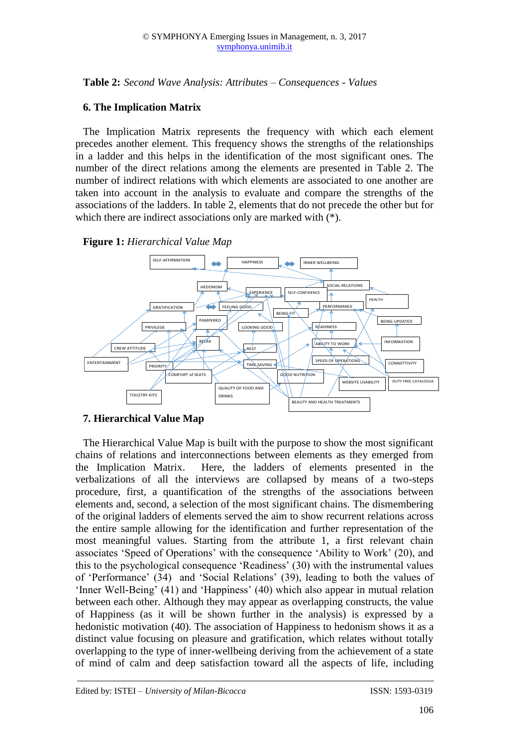**Table 2:** *Second Wave Analysis: Attributes – Consequences - Values* 

## **6. The Implication Matrix**

The Implication Matrix represents the frequency with which each element precedes another element. This frequency shows the strengths of the relationships in a ladder and this helps in the identification of the most significant ones. The number of the direct relations among the elements are presented in Table 2. The number of indirect relations with which elements are associated to one another are taken into account in the analysis to evaluate and compare the strengths of the associations of the ladders. In table 2, elements that do not precede the other but for which there are indirect associations only are marked with (\*).





# **7. Hierarchical Value Map**

The Hierarchical Value Map is built with the purpose to show the most significant chains of relations and interconnections between elements as they emerged from the Implication Matrix. Here, the ladders of elements presented in the verbalizations of all the interviews are collapsed by means of a two-steps procedure, first, a quantification of the strengths of the associations between elements and, second, a selection of the most significant chains. The dismembering of the original ladders of elements served the aim to show recurrent relations across the entire sample allowing for the identification and further representation of the most meaningful values. Starting from the attribute 1, a first relevant chain associates 'Speed of Operations' with the consequence 'Ability to Work' (20), and this to the psychological consequence 'Readiness' (30) with the instrumental values of 'Performance' (34) and 'Social Relations' (39), leading to both the values of 'Inner Well-Being' (41) and 'Happiness' (40) which also appear in mutual relation between each other. Although they may appear as overlapping constructs, the value of Happiness (as it will be shown further in the analysis) is expressed by a hedonistic motivation (40). The association of Happiness to hedonism shows it as a distinct value focusing on pleasure and gratification, which relates without totally overlapping to the type of inner-wellbeing deriving from the achievement of a state of mind of calm and deep satisfaction toward all the aspects of life, including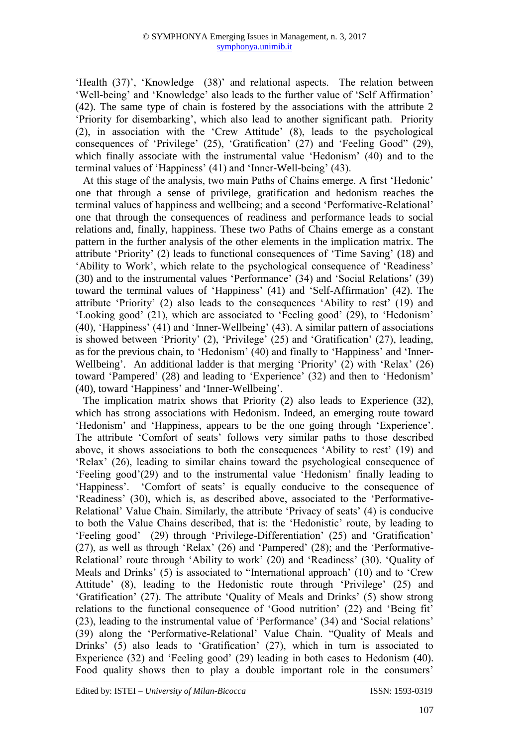'Health (37)', 'Knowledge (38)' and relational aspects. The relation between 'Well-being' and 'Knowledge' also leads to the further value of 'Self Affirmation' (42). The same type of chain is fostered by the associations with the attribute 2 'Priority for disembarking', which also lead to another significant path. Priority (2), in association with the 'Crew Attitude' (8), leads to the psychological consequences of 'Privilege' (25), 'Gratification'  $(27)$  and 'Feeling Good" (29), which finally associate with the instrumental value 'Hedonism' (40) and to the terminal values of 'Happiness' (41) and 'Inner-Well-being' (43).

At this stage of the analysis, two main Paths of Chains emerge. A first 'Hedonic' one that through a sense of privilege, gratification and hedonism reaches the terminal values of happiness and wellbeing; and a second 'Performative-Relational' one that through the consequences of readiness and performance leads to social relations and, finally, happiness. These two Paths of Chains emerge as a constant pattern in the further analysis of the other elements in the implication matrix. The attribute 'Priority' (2) leads to functional consequences of 'Time Saving' (18) and 'Ability to Work', which relate to the psychological consequence of 'Readiness' (30) and to the instrumental values 'Performance' (34) and 'Social Relations' (39) toward the terminal values of 'Happiness' (41) and 'Self-Affirmation' (42). The attribute 'Priority' (2) also leads to the consequences 'Ability to rest' (19) and 'Looking good' (21), which are associated to 'Feeling good' (29), to 'Hedonism' (40), 'Happiness' (41) and 'Inner-Wellbeing' (43). A similar pattern of associations is showed between 'Priority' (2), 'Privilege' (25) and 'Gratification' (27), leading, as for the previous chain, to 'Hedonism' (40) and finally to 'Happiness' and 'Inner-Wellbeing'. An additional ladder is that merging 'Priority' (2) with 'Relax' (26) toward 'Pampered' (28) and leading to 'Experience' (32) and then to 'Hedonism' (40), toward 'Happiness' and 'Inner-Wellbeing'.

The implication matrix shows that Priority (2) also leads to Experience (32), which has strong associations with Hedonism. Indeed, an emerging route toward 'Hedonism' and 'Happiness, appears to be the one going through 'Experience'. The attribute 'Comfort of seats' follows very similar paths to those described above, it shows associations to both the consequences 'Ability to rest' (19) and 'Relax' (26), leading to similar chains toward the psychological consequence of 'Feeling good'(29) and to the instrumental value 'Hedonism' finally leading to 'Happiness'. 'Comfort of seats' is equally conducive to the consequence of 'Readiness' (30), which is, as described above, associated to the 'Performative-Relational' Value Chain. Similarly, the attribute 'Privacy of seats' (4) is conducive to both the Value Chains described, that is: the 'Hedonistic' route, by leading to 'Feeling good' (29) through 'Privilege-Differentiation' (25) and 'Gratification' (27), as well as through 'Relax' (26) and 'Pampered' (28); and the 'Performative-Relational' route through 'Ability to work' (20) and 'Readiness' (30). 'Quality of Meals and Drinks' (5) is associated to "International approach' (10) and to 'Crew Attitude' (8), leading to the Hedonistic route through 'Privilege' (25) and 'Gratification' (27). The attribute 'Quality of Meals and Drinks' (5) show strong relations to the functional consequence of 'Good nutrition' (22) and 'Being fit' (23), leading to the instrumental value of 'Performance' (34) and 'Social relations' (39) along the 'Performative-Relational' Value Chain. "Quality of Meals and Drinks' (5) also leads to 'Gratification' (27), which in turn is associated to Experience (32) and 'Feeling good' (29) leading in both cases to Hedonism (40). Food quality shows then to play a double important role in the consumers'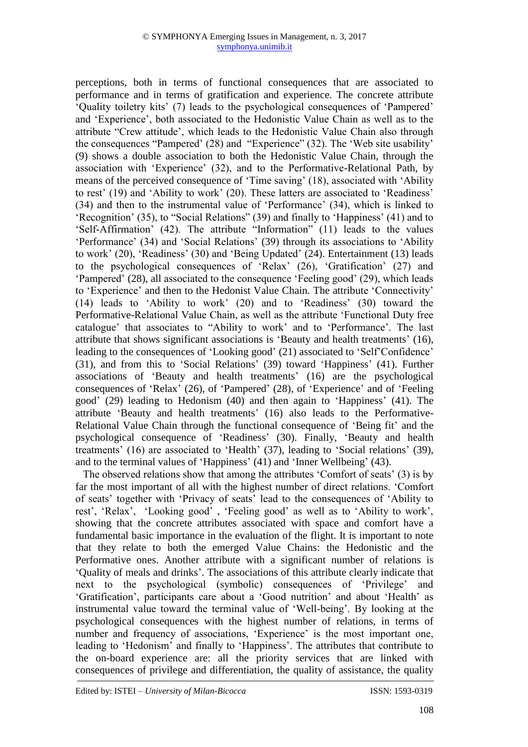perceptions, both in terms of functional consequences that are associated to performance and in terms of gratification and experience. The concrete attribute 'Quality toiletry kits' (7) leads to the psychological consequences of 'Pampered' and 'Experience', both associated to the Hedonistic Value Chain as well as to the attribute "Crew attitude', which leads to the Hedonistic Value Chain also through the consequences "Pampered' (28) and "Experience" (32). The 'Web site usability' (9) shows a double association to both the Hedonistic Value Chain, through the association with 'Experience' (32), and to the Performative-Relational Path, by means of the perceived consequence of 'Time saving' (18), associated with 'Ability to rest' (19) and 'Ability to work' (20). These latters are associated to 'Readiness' (34) and then to the instrumental value of 'Performance' (34), which is linked to 'Recognition' (35), to "Social Relations" (39) and finally to 'Happiness' (41) and to 'Self-Affirmation' (42). The attribute "Information" (11) leads to the values 'Performance' (34) and 'Social Relations' (39) through its associations to 'Ability to work' (20), 'Readiness' (30) and 'Being Updated' (24). Entertainment (13) leads to the psychological consequences of 'Relax' (26), 'Gratification' (27) and 'Pampered' (28), all associated to the consequence 'Feeling good' (29), which leads to 'Experience' and then to the Hedonist Value Chain. The attribute 'Connectivity' (14) leads to 'Ability to work' (20) and to 'Readiness' (30) toward the Performative-Relational Value Chain, as well as the attribute 'Functional Duty free catalogue' that associates to "Ability to work' and to 'Performance'. The last attribute that shows significant associations is 'Beauty and health treatments' (16), leading to the consequences of 'Looking good' (21) associated to 'Self'Confidence' (31), and from this to 'Social Relations' (39) toward 'Happiness' (41). Further associations of 'Beauty and health treatments' (16) are the psychological consequences of 'Relax' (26), of 'Pampered' (28), of 'Experience' and of 'Feeling good' (29) leading to Hedonism (40) and then again to 'Happiness' (41). The attribute 'Beauty and health treatments' (16) also leads to the Performative-Relational Value Chain through the functional consequence of 'Being fit' and the psychological consequence of 'Readiness' (30). Finally, 'Beauty and health treatments' (16) are associated to 'Health' (37), leading to 'Social relations' (39), and to the terminal values of 'Happiness' (41) and 'Inner Wellbeing' (43).

The observed relations show that among the attributes 'Comfort of seats' (3) is by far the most important of all with the highest number of direct relations. 'Comfort of seats' together with 'Privacy of seats' lead to the consequences of 'Ability to rest', 'Relax', 'Looking good' , 'Feeling good' as well as to 'Ability to work', showing that the concrete attributes associated with space and comfort have a fundamental basic importance in the evaluation of the flight. It is important to note that they relate to both the emerged Value Chains: the Hedonistic and the Performative ones. Another attribute with a significant number of relations is 'Quality of meals and drinks'. The associations of this attribute clearly indicate that next to the psychological (symbolic) consequences of 'Privilege' and 'Gratification', participants care about a 'Good nutrition' and about 'Health' as instrumental value toward the terminal value of 'Well-being'. By looking at the psychological consequences with the highest number of relations, in terms of number and frequency of associations, 'Experience' is the most important one, leading to 'Hedonism' and finally to 'Happiness'. The attributes that contribute to the on-board experience are: all the priority services that are linked with consequences of privilege and differentiation, the quality of assistance, the quality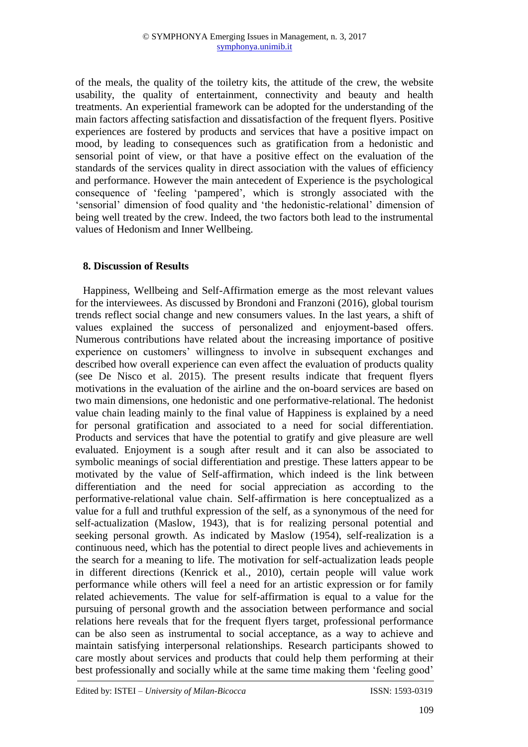of the meals, the quality of the toiletry kits, the attitude of the crew, the website usability, the quality of entertainment, connectivity and beauty and health treatments. An experiential framework can be adopted for the understanding of the main factors affecting satisfaction and dissatisfaction of the frequent flyers. Positive experiences are fostered by products and services that have a positive impact on mood, by leading to consequences such as gratification from a hedonistic and sensorial point of view, or that have a positive effect on the evaluation of the standards of the services quality in direct association with the values of efficiency and performance. However the main antecedent of Experience is the psychological consequence of 'feeling 'pampered', which is strongly associated with the 'sensorial' dimension of food quality and 'the hedonistic-relational' dimension of being well treated by the crew. Indeed, the two factors both lead to the instrumental values of Hedonism and Inner Wellbeing.

# **8. Discussion of Results**

Happiness, Wellbeing and Self-Affirmation emerge as the most relevant values for the interviewees. As discussed by Brondoni and Franzoni (2016), global tourism trends reflect social change and new consumers values. In the last years, a shift of values explained the success of personalized and enjoyment-based offers. Numerous contributions have related about the increasing importance of positive experience on customers' willingness to involve in subsequent exchanges and described how overall experience can even affect the evaluation of products quality (see De Nisco et al. 2015). The present results indicate that frequent flyers motivations in the evaluation of the airline and the on-board services are based on two main dimensions, one hedonistic and one performative-relational. The hedonist value chain leading mainly to the final value of Happiness is explained by a need for personal gratification and associated to a need for social differentiation. Products and services that have the potential to gratify and give pleasure are well evaluated. Enjoyment is a sough after result and it can also be associated to symbolic meanings of social differentiation and prestige. These latters appear to be motivated by the value of Self-affirmation, which indeed is the link between differentiation and the need for social appreciation as according to the performative-relational value chain. Self-affirmation is here conceptualized as a value for a full and truthful expression of the self, as a synonymous of the need for self-actualization (Maslow, 1943), that is for realizing personal potential and seeking personal growth. As indicated by Maslow (1954), self-realization is a continuous need, which has the potential to direct people lives and achievements in the search for a meaning to life. The motivation for self-actualization leads people in different directions (Kenrick et al., 2010), certain people will value work performance while others will feel a need for an artistic expression or for family related achievements. The value for self-affirmation is equal to a value for the pursuing of personal growth and the association between performance and social relations here reveals that for the frequent flyers target, professional performance can be also seen as instrumental to social acceptance, as a way to achieve and maintain satisfying interpersonal relationships. Research participants showed to care mostly about services and products that could help them performing at their best professionally and socially while at the same time making them 'feeling good'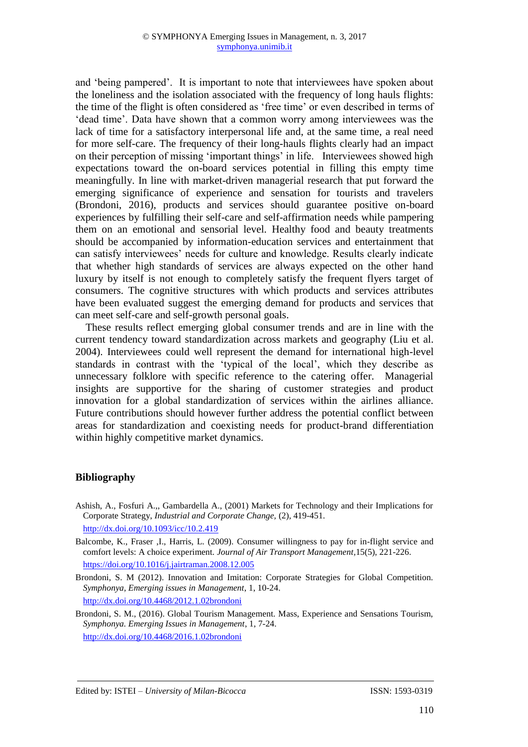and 'being pampered'. It is important to note that interviewees have spoken about the loneliness and the isolation associated with the frequency of long hauls flights: the time of the flight is often considered as 'free time' or even described in terms of 'dead time'. Data have shown that a common worry among interviewees was the lack of time for a satisfactory interpersonal life and, at the same time, a real need for more self-care. The frequency of their long-hauls flights clearly had an impact on their perception of missing 'important things' in life. Interviewees showed high expectations toward the on-board services potential in filling this empty time meaningfully. In line with market-driven managerial research that put forward the emerging significance of experience and sensation for tourists and travelers (Brondoni, 2016), products and services should guarantee positive on-board experiences by fulfilling their self-care and self-affirmation needs while pampering them on an emotional and sensorial level. Healthy food and beauty treatments should be accompanied by information-education services and entertainment that can satisfy interviewees' needs for culture and knowledge. Results clearly indicate that whether high standards of services are always expected on the other hand luxury by itself is not enough to completely satisfy the frequent flyers target of consumers. The cognitive structures with which products and services attributes have been evaluated suggest the emerging demand for products and services that can meet self-care and self-growth personal goals.

These results reflect emerging global consumer trends and are in line with the current tendency toward standardization across markets and geography (Liu et al. 2004). Interviewees could well represent the demand for international high-level standards in contrast with the 'typical of the local', which they describe as unnecessary folklore with specific reference to the catering offer. Managerial insights are supportive for the sharing of customer strategies and product innovation for a global standardization of services within the airlines alliance. Future contributions should however further address the potential conflict between areas for standardization and coexisting needs for product-brand differentiation within highly competitive market dynamics.

# **Bibliography**

Ashish, A., Fosfuri A.,, Gambardella A., (2001) Markets for Technology and their Implications for Corporate Strategy, *Industrial and Corporate Change,* (2), 419-451. <http://dx.doi.org/10.1093/icc/10.2.419>

[Balcombe,](http://www.sciencedirect.com/science/article/pii/S0969699708001762) K., [Fraser](http://www.sciencedirect.com/science/article/pii/S0969699708001762) ,I., [Harris,](http://www.sciencedirect.com/science/article/pii/S0969699708001762) L. (2009). Consumer willingness to pay for in-flight service and comfort levels: A choice experiment*[. Journal of Air Transport Management,](http://www.sciencedirect.com/science/journal/09696997)*15(5), 221-226. <https://doi.org/10.1016/j.jairtraman.2008.12.005>

Brondoni, S. M (2012). Innovation and Imitation: Corporate Strategies for Global Competition. *Symphonya, Emerging issues in Management*, 1, 10-24. <http://dx.doi.org/10.4468/2012.1.02brondoni>

Brondoni, S. M., (2016). Global Tourism Management. Mass, Experience and Sensations Tourism, *Symphonya. Emerging Issues in Management*, 1, 7-24. <http://dx.doi.org/10.4468/2016.1.02brondoni>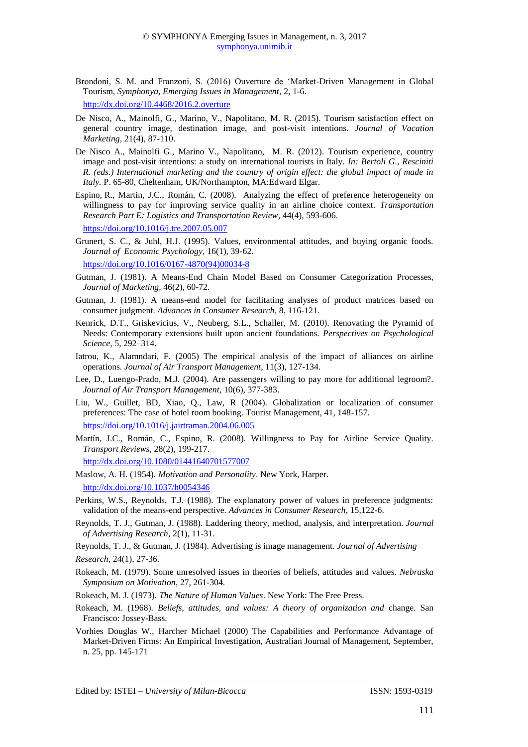- Brondoni, S. M. and Franzoni, S. (2016) Ouverture de 'Market-Driven Management in Global Tourism, *Symphonya, Emerging Issues in Management*, 2, 1-6. <http://dx.doi.org/10.4468/2016.2.overture>
- De Nisco, A., Mainolfi, G., Marino, V., Napolitano, M. R. (2015). Tourism satisfaction effect on general country image, destination image, and post-visit intentions. *Journal of Vacation Marketing*, 21(4), 87-110.
- De Nisco A., Mainolfi G., Marino V., Napolitano, M. R. (2012). Tourism experience, country image and post-visit intentions: a study on international tourists in Italy. *In: Bertoli G., Resciniti R. (eds.) International marketing and the country of origin effect: the global impact of made in Italy.* P. 65-80, Cheltenham, UK/Northampton, MA:Edward Elgar.
- Espino, R., Martin, J.C., [Román,](http://www.sciencedirect.com/science/article/pii/S1366554507000518) C. (2008). Analyzing the effect of preference heterogeneity on willingness to pay for improving service quality in an airline choice context. *Transportation Research Part E: Logistics and Transportation Review,* 44(4), 593-606.

<https://doi.org/10.1016/j.tre.2007.05.007>

Grunert, S. C., & Juhl, H.J. (1995). Values, environmental attitudes, and buying organic foods. *Journal of Economic Psychology*, 16(1), 39-62.

[https://doi.org/10.1016/0167-4870\(94\)00034-8](https://doi.org/10.1016/0167-4870(94)00034-8)

- Gutman, J. (1981). A Means-End Chain Model Based on Consumer Categorization Processes, *Journal of Marketing,* 46(2), 60-72.
- Gutman, J. (1981). A means-end model for facilitating analyses of product matrices based on consumer judgment. *Advances in Consumer Research*, 8, 116-121.
- Kenrick, D.T., Griskevicius, V., Neuberg, S.L., Schaller, M. (2010). Renovating the Pyramid of Needs: Contemporary extensions built upon ancient foundations. *Perspectives on Psychological Science,* 5, 292–314.
- Iatrou, K., Alamndari, F. (2005) The empirical analysis of the impact of alliances on airline operations. *Journal of Air Transport Management*, 11(3), 127-134.
- Lee, D., [Luengo-Prado,](https://scholar.google.it/citations?user=SvJYBdAAAAAJ&hl=it&oi=sra) M.J. (2004). Are passengers willing to pay more for additional legroom?. *Journal of Air Transport Management*, 10(6), 377-383.
- Liu, W., Guillet, BD, Xiao, Q., Law, R (2004). Globalization or localization of consumer preferences: The case of hotel room booking. Tourist Management, 41, 148-157. <https://doi.org/10.1016/j.jairtraman.2004.06.005>
- Martín, J.C., Román, C., Espino, R. (2008). Willingness to Pay for Airline Service Quality. *Transport Reviews*, 28(2), 199-217. <http://dx.doi.org/10.1080/01441640701577007>
- Maslow, A. H. (1954). *Motivation and Personality*. New York, Harper. http://dx.doi.org/10.1037/h0054346
- Perkins, W.S., Reynolds, T.J. (1988). The explanatory power of values in preference judgments: validation of the means-end perspective. *Advances in Consumer Research*, 15,122-6.
- Reynolds, T. J., Gutman, J. (1988). Laddering theory, method, analysis, and interpretation. *Journal of Advertising Research*, 2(1), 11-31.
- Reynolds, T. J., & Gutman, J. (1984). Advertising is image management. *Journal of Advertising*
- *Research*, 24(1), 27-36.
- Rokeach, M. (1979). Some unresolved issues in theories of beliefs, attitudes and values. *Nebraska Symposium on Motivation*, 27, 261-304.
- Rokeach, M. J. (1973). *The Nature of Human Values*. New York: The Free Press.
- Rokeach, M. (1968). *Beliefs, attitudes, and values: A theory of organization and* change. San Francisco: Jossey-Bass.
- Vorhies Douglas W., Harcher Michael (2000) The Capabilities and Performance Advantage of Market-Driven Firms: An Empirical Investigation, Australian Journal of Management, September, n. 25, pp. 145-171